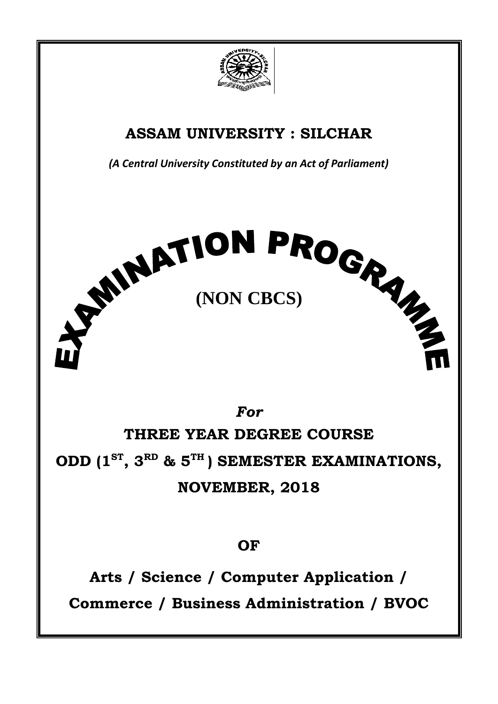

## **ASSAM UNIVERSITY : SILCHAR**

*(A Central University Constituted by an Act of Parliament)*



*For* **THREE YEAR DEGREE COURSE ODD (1 ST, 3RD & 5TH ) SEMESTER EXAMINATIONS, NOVEMBER, 2018**

### **OF**

**Arts / Science / Computer Application / Commerce / Business Administration / BVOC**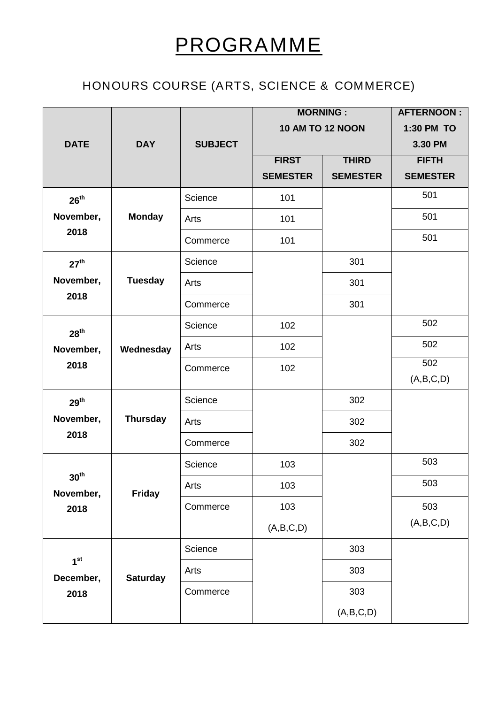# PROGRAMME

### HONOURS COURSE (ARTS, SCIENCE & COMMERCE)

|                               |                 |                |                         | <b>MORNING:</b> | <b>AFTERNOON:</b> |  |
|-------------------------------|-----------------|----------------|-------------------------|-----------------|-------------------|--|
|                               |                 |                | <b>10 AM TO 12 NOON</b> | 1:30 PM TO      |                   |  |
| <b>DATE</b>                   | <b>DAY</b>      | <b>SUBJECT</b> |                         |                 | 3.30 PM           |  |
|                               |                 |                | <b>FIRST</b>            | <b>THIRD</b>    | <b>FIFTH</b>      |  |
|                               |                 |                | <b>SEMESTER</b>         | <b>SEMESTER</b> | <b>SEMESTER</b>   |  |
| 26 <sup>th</sup>              |                 | Science        | 101                     |                 | 501               |  |
| November,                     | <b>Monday</b>   | Arts           | 101                     |                 | 501               |  |
| 2018                          |                 | Commerce       | 101                     |                 | 501               |  |
| 27 <sup>th</sup>              |                 | Science        |                         | 301             |                   |  |
| November,                     | <b>Tuesday</b>  | Arts           |                         | 301             |                   |  |
| 2018                          |                 | Commerce       |                         | 301             |                   |  |
| 28 <sup>th</sup>              |                 | Science        | 102                     |                 | 502               |  |
| November,                     | Wednesday       | Arts           | 102                     |                 | 502               |  |
| 2018                          |                 | Commerce       | 102                     |                 | 502               |  |
|                               |                 |                |                         |                 | (A,B,C,D)         |  |
| $29^{th}$                     |                 | Science        |                         | 302             |                   |  |
| November,                     | <b>Thursday</b> | Arts           |                         | 302             |                   |  |
| 2018                          |                 | Commerce       |                         | 302             |                   |  |
|                               |                 | Science        | 103                     |                 | 503               |  |
| 30 <sup>th</sup><br>November, | <b>Friday</b>   | Arts           | 103                     |                 | 503               |  |
| 2018                          |                 | Commerce       | 103                     |                 | 503               |  |
|                               |                 |                | (A,B,C,D)               |                 | (A,B,C,D)         |  |
|                               |                 | Science        |                         | 303             |                   |  |
| 1 <sup>st</sup><br>December,  | <b>Saturday</b> | Arts           |                         | 303             |                   |  |
| 2018                          |                 | Commerce       |                         | 303             |                   |  |
|                               |                 |                |                         | (A,B,C,D)       |                   |  |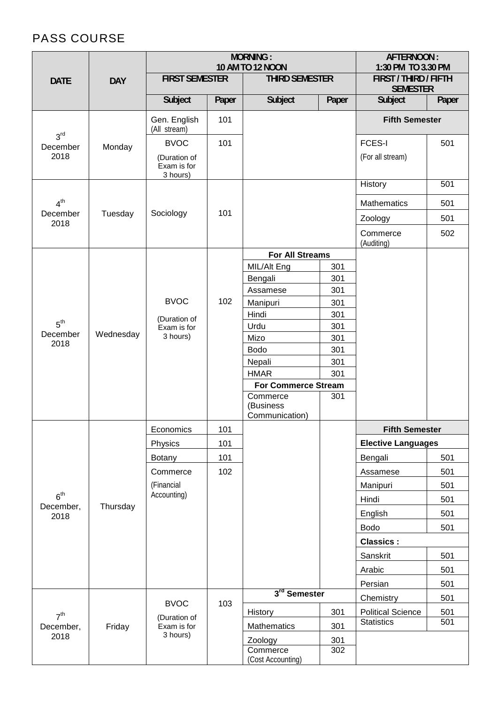### PASS COURSE

|                              |            |                                         |       | <b>MORNING:</b><br>10 AM TO 12 NOON    |            | AFTERNOON:<br>1:30 PM TO 3.30 PM            |       |
|------------------------------|------------|-----------------------------------------|-------|----------------------------------------|------------|---------------------------------------------|-------|
| <b>DATE</b>                  | <b>DAY</b> | <b>FIRST SEMESTER</b>                   |       | <b>THIRD SEMESTER</b>                  |            | <b>FIRST/THIRD/FIFTH</b><br><b>SEMESTER</b> |       |
|                              |            | <b>Subject</b>                          | Paper | <b>Subject</b>                         | Paper      | <b>Subject</b>                              | Paper |
|                              |            | Gen. English<br>(All stream)            | 101   |                                        |            | <b>Fifth Semester</b>                       |       |
| 3 <sup>rd</sup><br>December  | Monday     | <b>BVOC</b>                             | 101   |                                        |            | <b>FCES-I</b>                               | 501   |
| 2018                         |            | (Duration of<br>Exam is for<br>3 hours) |       |                                        |            | (For all stream)                            |       |
|                              |            |                                         |       |                                        |            | History                                     | 501   |
| 4 <sup>th</sup>              |            |                                         |       |                                        |            | Mathematics                                 | 501   |
| December<br>2018             | Tuesday    | Sociology                               | 101   |                                        |            | Zoology                                     | 501   |
|                              |            |                                         |       |                                        |            | Commerce<br>(Auditing)                      | 502   |
|                              |            |                                         |       | <b>For All Streams</b>                 |            |                                             |       |
|                              |            |                                         |       | MIL/Alt Eng<br>Bengali                 | 301<br>301 |                                             |       |
|                              |            |                                         |       | Assamese                               | 301        |                                             |       |
|                              |            | <b>BVOC</b>                             | 102   | Manipuri                               | 301        |                                             |       |
|                              |            | (Duration of                            |       | Hindi                                  | 301        |                                             |       |
| 5 <sup>th</sup>              |            | Exam is for                             |       | Urdu                                   | 301        |                                             |       |
| December<br>2018             | Wednesday  | 3 hours)                                |       | Mizo                                   | 301        |                                             |       |
|                              |            |                                         |       | <b>Bodo</b>                            | 301        |                                             |       |
|                              |            |                                         |       | Nepali                                 | 301        |                                             |       |
|                              |            |                                         |       | <b>HMAR</b>                            | 301        |                                             |       |
|                              |            |                                         |       | <b>For Commerce Stream</b><br>Commerce | 301        |                                             |       |
|                              |            |                                         |       | (Business<br>Communication)            |            |                                             |       |
|                              |            | Economics                               | 101   |                                        |            | <b>Fifth Semester</b>                       |       |
|                              |            | Physics                                 | 101   |                                        |            | <b>Elective Languages</b>                   |       |
|                              |            | Botany                                  | 101   |                                        |            | Bengali                                     | 501   |
|                              |            | Commerce                                | 102   |                                        |            | Assamese                                    | 501   |
|                              |            | (Financial                              |       |                                        |            | Manipuri                                    | 501   |
| 6 <sup>th</sup>              |            | Accounting)                             |       |                                        |            | Hindi                                       | 501   |
| December,<br>2018            | Thursday   |                                         |       |                                        |            | English                                     | 501   |
|                              |            |                                         |       |                                        |            | Bodo                                        | 501   |
|                              |            |                                         |       |                                        |            | <b>Classics:</b>                            |       |
|                              |            |                                         |       |                                        |            | Sanskrit                                    | 501   |
|                              |            |                                         |       |                                        |            | Arabic                                      | 501   |
|                              |            |                                         |       |                                        |            | Persian                                     | 501   |
|                              |            |                                         |       | 3rd Semester                           |            | Chemistry                                   | 501   |
|                              |            | <b>BVOC</b>                             | 103   | History                                | 301        | <b>Political Science</b>                    | 501   |
| 7 <sup>th</sup><br>December, | Friday     | (Duration of<br>Exam is for             |       | Mathematics                            | 301        | <b>Statistics</b>                           | 501   |
| 2018                         |            | 3 hours)                                |       | Zoology                                | 301        |                                             |       |
|                              |            |                                         |       | Commerce                               | 302        |                                             |       |
|                              |            |                                         |       | (Cost Accounting)                      |            |                                             |       |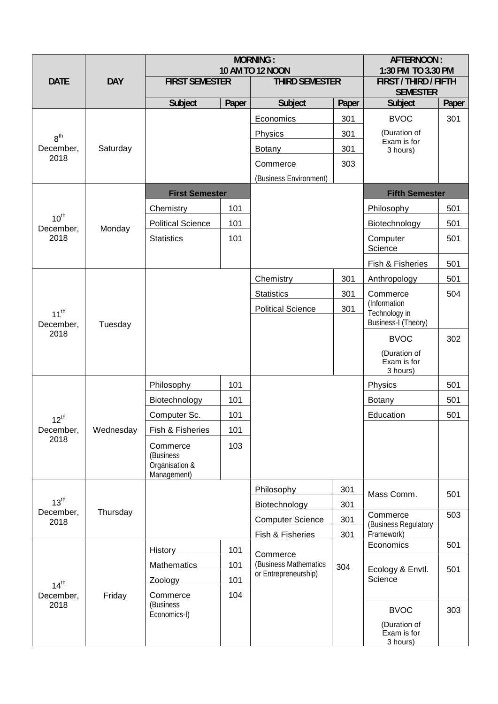|                        |            |                                                        |       | <b>MORNING:</b><br>10 AM TO 12 NOON |       | AFTERNOON:<br>1:30 PM TO 3.30 PM            |       |
|------------------------|------------|--------------------------------------------------------|-------|-------------------------------------|-------|---------------------------------------------|-------|
| <b>DATE</b>            | <b>DAY</b> | <b>FIRST SEMESTER</b>                                  |       | <b>THRD SEMESTER</b>                |       | <b>FIRST/THIRD/FIFTH</b><br><b>SEMESTER</b> |       |
|                        |            | <b>Subject</b>                                         | Paper | <b>Subject</b>                      | Paper | <b>Subject</b>                              | Paper |
|                        |            |                                                        |       | Economics                           | 301   | <b>BVOC</b>                                 | 301   |
| 8 <sup>th</sup>        |            |                                                        |       | Physics                             | 301   | (Duration of                                |       |
| December,              | Saturday   |                                                        |       | <b>Botany</b>                       | 301   | Exam is for<br>3 hours)                     |       |
| 2018                   |            |                                                        |       | Commerce                            | 303   |                                             |       |
|                        |            |                                                        |       | (Business Environment)              |       |                                             |       |
|                        |            | <b>First Semester</b>                                  |       |                                     |       | <b>Fifth Semester</b>                       |       |
|                        |            | Chemistry                                              | 101   |                                     |       | Philosophy                                  | 501   |
| $10^{th}$              |            | <b>Political Science</b>                               | 101   |                                     |       | Biotechnology                               | 501   |
| December,<br>2018      | Monday     | <b>Statistics</b>                                      | 101   |                                     |       | Computer<br>Science                         | 501   |
|                        |            |                                                        |       |                                     |       | Fish & Fisheries                            | 501   |
|                        |            |                                                        |       | Chemistry                           | 301   | Anthropology                                | 501   |
|                        |            |                                                        |       | <b>Statistics</b>                   | 301   | Commerce                                    | 504   |
|                        |            |                                                        |       | <b>Political Science</b>            | 301   | (Information                                |       |
| $11^{th}$<br>December, | Tuesday    |                                                        |       |                                     |       | Technology in<br>Business-I (Theory)        |       |
| 2018                   |            |                                                        |       |                                     |       | <b>BVOC</b>                                 | 302   |
|                        |            |                                                        |       |                                     |       | (Duration of<br>Exam is for<br>3 hours)     |       |
|                        |            | Philosophy                                             | 101   |                                     |       | Physics                                     | 501   |
|                        |            | Biotechnology                                          | 101   |                                     |       | Botany                                      | 501   |
|                        |            | Computer Sc.                                           | 101   |                                     |       | Education                                   | 501   |
| $12^{th}$<br>December, | Wednesday  | Fish & Fisheries                                       | 101   |                                     |       |                                             |       |
| 2018                   |            | Commerce<br>(Business<br>Organisation &<br>Management) | 103   |                                     |       |                                             |       |
|                        |            |                                                        |       | Philosophy                          | 301   | Mass Comm.                                  | 501   |
| 13 <sup>th</sup>       |            |                                                        |       | Biotechnology                       | 301   |                                             |       |
| December,<br>2018      | Thursday   |                                                        |       | <b>Computer Science</b>             | 301   | Commerce<br>(Business Regulatory            | 503   |
|                        |            |                                                        |       | Fish & Fisheries                    | 301   | Framework)                                  |       |
|                        |            | History                                                | 101   | Commerce                            |       | Economics                                   | 501   |
|                        |            | <b>Mathematics</b>                                     | 101   | (Business Mathematics               | 304   | Ecology & Envtl.                            | 501   |
| 14 <sup>th</sup>       |            | Zoology                                                | 101   | or Entrepreneurship)                |       | Science                                     |       |
| December,              | Friday     | Commerce                                               | 104   |                                     |       |                                             |       |
| 2018                   |            | (Business                                              |       |                                     |       | <b>BVOC</b>                                 | 303   |
|                        |            | Economics-I)                                           |       |                                     |       | (Duration of<br>Exam is for<br>3 hours)     |       |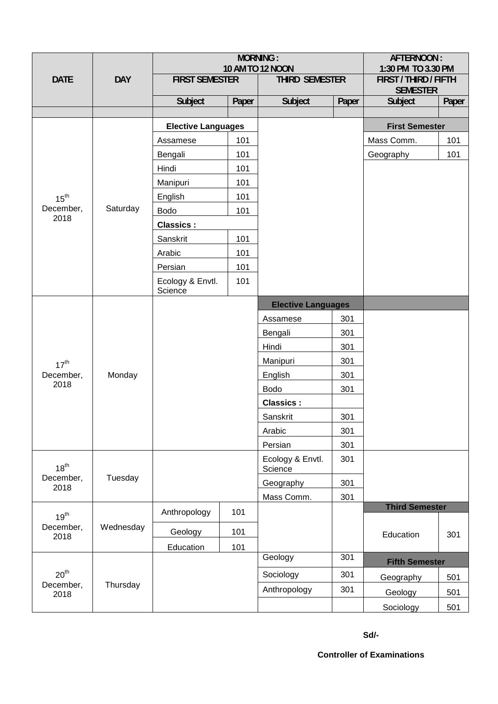|                               |            |                              |       | <b>MORNING:</b><br>10 AM TO 12 NOON |       | AFTERNOON:<br>1:30 PM TO 3.30 PM            |       |
|-------------------------------|------------|------------------------------|-------|-------------------------------------|-------|---------------------------------------------|-------|
| <b>DATE</b>                   | <b>DAY</b> | <b>FIRST SEMESTER</b>        |       | <b>THIRD SEMESTER</b>               |       | <b>FIRST/THIRD/FIFTH</b><br><b>SEMESTER</b> |       |
|                               |            | <b>Subject</b>               | Paper | <b>Subject</b>                      | Paper | <b>Subject</b>                              | Paper |
|                               |            |                              |       |                                     |       |                                             |       |
|                               |            | <b>Elective Languages</b>    |       |                                     |       | <b>First Semester</b>                       |       |
|                               |            | Assamese                     | 101   |                                     |       | Mass Comm.                                  | 101   |
|                               |            | Bengali                      | 101   |                                     |       | Geography                                   | 101   |
|                               |            | Hindi                        | 101   |                                     |       |                                             |       |
|                               |            | Manipuri                     | 101   |                                     |       |                                             |       |
| 15 <sup>th</sup><br>December, | Saturday   | English                      | 101   |                                     |       |                                             |       |
| 2018                          |            | <b>Bodo</b>                  | 101   |                                     |       |                                             |       |
|                               |            | <b>Classics:</b><br>Sanskrit | 101   |                                     |       |                                             |       |
|                               |            | Arabic                       | 101   |                                     |       |                                             |       |
|                               |            | Persian                      | 101   |                                     |       |                                             |       |
|                               |            | Ecology & Envtl.             | 101   |                                     |       |                                             |       |
|                               |            | Science                      |       |                                     |       |                                             |       |
|                               |            |                              |       | <b>Elective Languages</b>           |       |                                             |       |
|                               |            |                              |       | Assamese                            | 301   |                                             |       |
|                               |            |                              |       | Bengali                             | 301   |                                             |       |
|                               |            |                              |       | Hindi                               | 301   |                                             |       |
| 17 <sup>th</sup>              |            |                              |       | Manipuri                            | 301   |                                             |       |
| December,<br>2018             | Monday     |                              |       | English                             | 301   |                                             |       |
|                               |            |                              |       | <b>Bodo</b>                         | 301   |                                             |       |
|                               |            |                              |       | <b>Classics:</b>                    |       |                                             |       |
|                               |            |                              |       | Sanskrit                            | 301   |                                             |       |
|                               |            |                              |       | Arabic                              | 301   |                                             |       |
|                               |            |                              |       | Persian                             | 301   |                                             |       |
| $18^{th}$                     |            |                              |       | Ecology & Envtl.<br>Science         | 301   |                                             |       |
| December,<br>2018             | Tuesday    |                              |       | Geography                           | 301   |                                             |       |
|                               |            |                              |       | Mass Comm.                          | 301   |                                             |       |
| 19 <sup>th</sup>              |            | Anthropology                 | 101   |                                     |       | <b>Third Semester</b>                       |       |
| December,<br>2018             | Wednesday  | Geology                      | 101   |                                     |       | Education                                   | 301   |
|                               |            | Education                    | 101   |                                     |       |                                             |       |
|                               |            |                              |       | Geology                             | 301   | <b>Fifth Semester</b>                       |       |
| 20 <sup>th</sup>              |            |                              |       | Sociology                           | 301   | Geography                                   | 501   |
| December,<br>2018             | Thursday   |                              |       | Anthropology                        | 301   | Geology                                     | 501   |
|                               |            |                              |       |                                     |       | Sociology                                   | 501   |